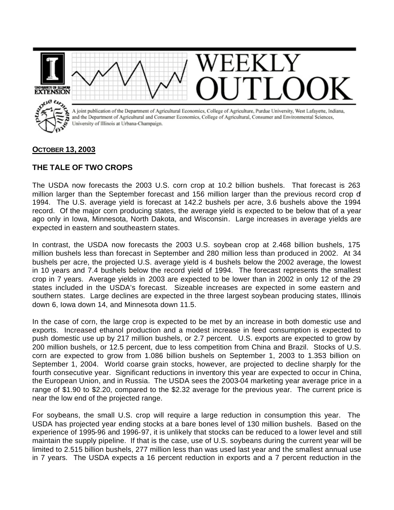

## **OCTOBER 13, 2003**

## **THE TALE OF TWO CROPS**

The USDA now forecasts the 2003 U.S. corn crop at 10.2 billion bushels. That forecast is 263 million larger than the September forecast and 156 million larger than the previous record crop of 1994. The U.S. average yield is forecast at 142.2 bushels per acre, 3.6 bushels above the 1994 record. Of the major corn producing states, the average yield is expected to be below that of a year ago only in Iowa, Minnesota, North Dakota, and Wisconsin. Large increases in average yields are expected in eastern and southeastern states.

In contrast, the USDA now forecasts the 2003 U.S. soybean crop at 2.468 billion bushels, 175 million bushels less than forecast in September and 280 million less than produced in 2002. At 34 bushels per acre, the projected U.S. average yield is 4 bushels below the 2002 average, the lowest in 10 years and 7.4 bushels below the record yield of 1994. The forecast represents the smallest crop in 7 years. Average yields in 2003 are expected to be lower than in 2002 in only 12 of the 29 states included in the USDA's forecast. Sizeable increases are expected in some eastern and southern states. Large declines are expected in the three largest soybean producing states, Illinois down 6, Iowa down 14, and Minnesota down 11.5.

In the case of corn, the large crop is expected to be met by an increase in both domestic use and exports. Increased ethanol production and a modest increase in feed consumption is expected to push domestic use up by 217 million bushels, or 2.7 percent. U.S. exports are expected to grow by 200 million bushels, or 12.5 percent, due to less competition from China and Brazil. Stocks of U.S. corn are expected to grow from 1.086 billion bushels on September 1, 2003 to 1.353 billion on September 1, 2004. World coarse grain stocks, however, are projected to decline sharply for the fourth consecutive year. Significant reductions in inventory this year are expected to occur in China, the European Union, and in Russia. The USDA sees the 2003-04 marketing year average price in a range of \$1.90 to \$2.20, compared to the \$2.32 average for the previous year. The current price is near the low end of the projected range.

For soybeans, the small U.S. crop will require a large reduction in consumption this year. The USDA has projected year ending stocks at a bare bones level of 130 million bushels. Based on the experience of 1995-96 and 1996-97, it is unlikely that stocks can be reduced to a lower level and still maintain the supply pipeline. If that is the case, use of U.S. soybeans during the current year will be limited to 2.515 billion bushels, 277 million less than was used last year and the smallest annual use in 7 years. The USDA expects a 16 percent reduction in exports and a 7 percent reduction in the